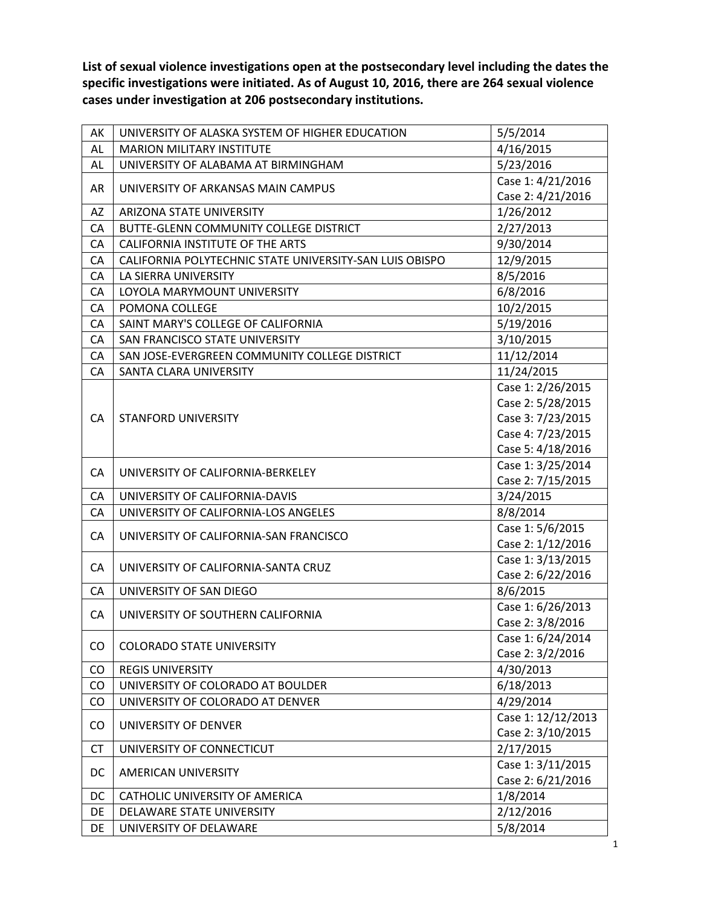**List of sexual violence investigations open at the postsecondary level including the dates the specific investigations were initiated. As of August 10, 2016, there are 264 sexual violence cases under investigation at 206 postsecondary institutions.**

| AK        | UNIVERSITY OF ALASKA SYSTEM OF HIGHER EDUCATION         | 5/5/2014                      |
|-----------|---------------------------------------------------------|-------------------------------|
| AL        | <b>MARION MILITARY INSTITUTE</b>                        | 4/16/2015                     |
| AL        | UNIVERSITY OF ALABAMA AT BIRMINGHAM                     | 5/23/2016                     |
|           |                                                         | Case 1: 4/21/2016             |
| AR        | UNIVERSITY OF ARKANSAS MAIN CAMPUS                      | Case 2: 4/21/2016             |
| AZ        | <b>ARIZONA STATE UNIVERSITY</b>                         | 1/26/2012                     |
| CA        | BUTTE-GLENN COMMUNITY COLLEGE DISTRICT                  | 2/27/2013                     |
| CA        | <b>CALIFORNIA INSTITUTE OF THE ARTS</b>                 | 9/30/2014                     |
| CA        | CALIFORNIA POLYTECHNIC STATE UNIVERSITY-SAN LUIS OBISPO | 12/9/2015                     |
| CA        | LA SIERRA UNIVERSITY                                    | 8/5/2016                      |
| CA        | LOYOLA MARYMOUNT UNIVERSITY                             | 6/8/2016                      |
| CA        | POMONA COLLEGE                                          | 10/2/2015                     |
| CA        | SAINT MARY'S COLLEGE OF CALIFORNIA                      | 5/19/2016                     |
| CA        | SAN FRANCISCO STATE UNIVERSITY                          | 3/10/2015                     |
| CA        | SAN JOSE-EVERGREEN COMMUNITY COLLEGE DISTRICT           | 11/12/2014                    |
| CA        | SANTA CLARA UNIVERSITY                                  | 11/24/2015                    |
|           |                                                         | Case 1: 2/26/2015             |
|           |                                                         | Case 2: 5/28/2015             |
| CA        | <b>STANFORD UNIVERSITY</b>                              | Case 3: 7/23/2015             |
|           |                                                         | Case 4: 7/23/2015             |
|           |                                                         | Case 5: 4/18/2016             |
| CA        | UNIVERSITY OF CALIFORNIA-BERKELEY                       | Case 1: 3/25/2014             |
|           |                                                         | Case 2: 7/15/2015             |
| CA        | UNIVERSITY OF CALIFORNIA-DAVIS                          | 3/24/2015                     |
| CA        | UNIVERSITY OF CALIFORNIA-LOS ANGELES                    | 8/8/2014                      |
| CA        | UNIVERSITY OF CALIFORNIA-SAN FRANCISCO                  | Case 1: 5/6/2015              |
|           |                                                         | Case 2: 1/12/2016             |
| CA        | UNIVERSITY OF CALIFORNIA-SANTA CRUZ                     | Case 1: 3/13/2015             |
|           |                                                         | Case 2: 6/22/2016             |
| CA        | UNIVERSITY OF SAN DIEGO                                 | 8/6/2015                      |
| CA        | UNIVERSITY OF SOUTHERN CALIFORNIA                       | Case 1: 6/26/2013             |
|           |                                                         | Case 2: 3/8/2016              |
| CO        | <b>COLORADO STATE UNIVERSITY</b>                        | Case 1: 6/24/2014             |
|           | <b>REGIS UNIVERSITY</b>                                 | Case 2: 3/2/2016<br>4/30/2013 |
| CO<br>CO  | UNIVERSITY OF COLORADO AT BOULDER                       | 6/18/2013                     |
| CO        | UNIVERSITY OF COLORADO AT DENVER                        | 4/29/2014                     |
|           |                                                         | Case 1: 12/12/2013            |
| CO        | UNIVERSITY OF DENVER                                    | Case 2: 3/10/2015             |
| <b>CT</b> | UNIVERSITY OF CONNECTICUT                               | 2/17/2015                     |
|           |                                                         | Case 1: 3/11/2015             |
| DC        | AMERICAN UNIVERSITY                                     | Case 2: 6/21/2016             |
| DC        | CATHOLIC UNIVERSITY OF AMERICA                          | 1/8/2014                      |
| DE        | DELAWARE STATE UNIVERSITY                               | 2/12/2016                     |
| DE        | UNIVERSITY OF DELAWARE                                  | 5/8/2014                      |
|           |                                                         |                               |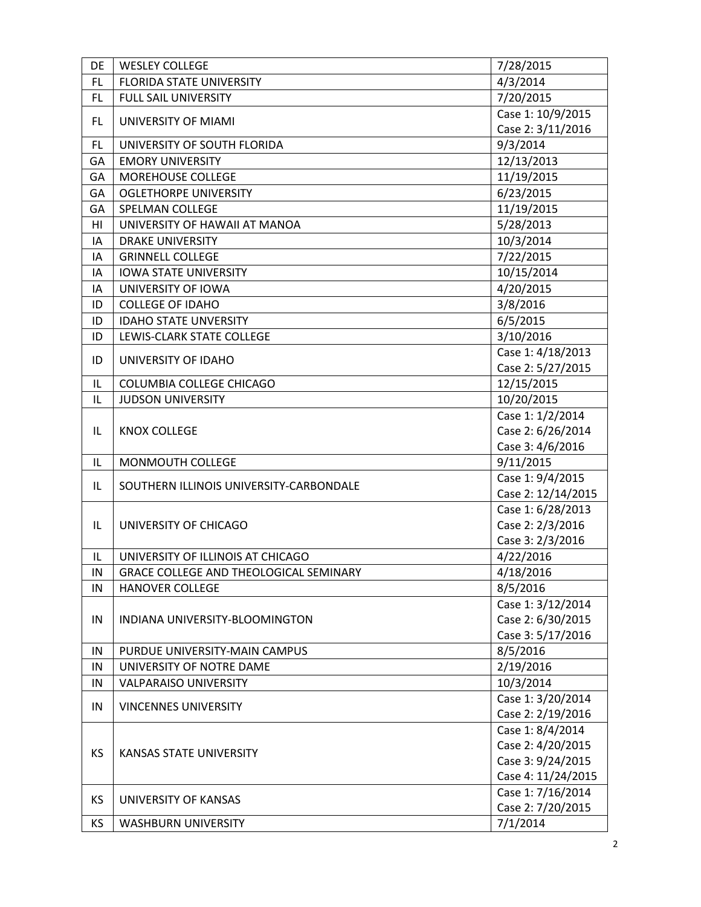| DE         | <b>WESLEY COLLEGE</b>                              | 7/28/2015                     |
|------------|----------------------------------------------------|-------------------------------|
| <b>FL</b>  | <b>FLORIDA STATE UNIVERSITY</b>                    | 4/3/2014                      |
| FL         | FULL SAIL UNIVERSITY                               | 7/20/2015                     |
|            |                                                    | Case 1: 10/9/2015             |
| FL.        | UNIVERSITY OF MIAMI                                | Case 2: 3/11/2016             |
| FL         | UNIVERSITY OF SOUTH FLORIDA                        | 9/3/2014                      |
| GA         | <b>EMORY UNIVERSITY</b>                            | 12/13/2013                    |
| GA         | MOREHOUSE COLLEGE                                  | 11/19/2015                    |
| GA         | <b>OGLETHORPE UNIVERSITY</b>                       | 6/23/2015                     |
| GA         | SPELMAN COLLEGE                                    | 11/19/2015                    |
| HI         | UNIVERSITY OF HAWAII AT MANOA                      | 5/28/2013                     |
| IA         | <b>DRAKE UNIVERSITY</b>                            | 10/3/2014                     |
| IA         | <b>GRINNELL COLLEGE</b>                            | 7/22/2015                     |
| IA         | <b>IOWA STATE UNIVERSITY</b>                       | 10/15/2014                    |
| IA         | UNIVERSITY OF IOWA                                 | 4/20/2015                     |
| ID         | <b>COLLEGE OF IDAHO</b>                            | 3/8/2016                      |
| ID         | <b>IDAHO STATE UNVERSITY</b>                       | 6/5/2015                      |
| ID         | LEWIS-CLARK STATE COLLEGE                          | 3/10/2016                     |
|            |                                                    | Case 1: 4/18/2013             |
| ID         | UNIVERSITY OF IDAHO                                | Case 2: 5/27/2015             |
| IL         | COLUMBIA COLLEGE CHICAGO                           | 12/15/2015                    |
| IL         | <b>JUDSON UNIVERSITY</b>                           | 10/20/2015                    |
|            |                                                    | Case 1: 1/2/2014              |
| IL         | <b>KNOX COLLEGE</b>                                | Case 2: 6/26/2014             |
|            |                                                    |                               |
|            |                                                    | Case 3: 4/6/2016              |
| IL         | MONMOUTH COLLEGE                                   | 9/11/2015                     |
|            |                                                    | Case 1: 9/4/2015              |
| IL         | SOUTHERN ILLINOIS UNIVERSITY-CARBONDALE            | Case 2: 12/14/2015            |
|            |                                                    | Case 1: 6/28/2013             |
| IL         | UNIVERSITY OF CHICAGO                              | Case 2: 2/3/2016              |
|            |                                                    | Case 3: 2/3/2016              |
| IL         | UNIVERSITY OF ILLINOIS AT CHICAGO                  | 4/22/2016                     |
| ${\sf IN}$ | GRACE COLLEGE AND THEOLOGICAL SEMINARY             | 4/18/2016                     |
| IN         | <b>HANOVER COLLEGE</b>                             | 8/5/2016                      |
|            |                                                    | Case 1: 3/12/2014             |
| IN         | INDIANA UNIVERSITY-BLOOMINGTON                     | Case 2: 6/30/2015             |
|            |                                                    | Case 3: 5/17/2016             |
| IN         | PURDUE UNIVERSITY-MAIN CAMPUS                      | 8/5/2016                      |
| IN         | UNIVERSITY OF NOTRE DAME                           | 2/19/2016                     |
| IN         | <b>VALPARAISO UNIVERSITY</b>                       | 10/3/2014                     |
|            |                                                    | Case 1: 3/20/2014             |
| IN         | <b>VINCENNES UNIVERSITY</b>                        | Case 2: 2/19/2016             |
|            |                                                    | Case 1: 8/4/2014              |
|            |                                                    | Case 2: 4/20/2015             |
| <b>KS</b>  | <b>KANSAS STATE UNIVERSITY</b>                     | Case 3: 9/24/2015             |
|            |                                                    | Case 4: 11/24/2015            |
|            |                                                    | Case 1: 7/16/2014             |
| KS<br>KS   | UNIVERSITY OF KANSAS<br><b>WASHBURN UNIVERSITY</b> | Case 2: 7/20/2015<br>7/1/2014 |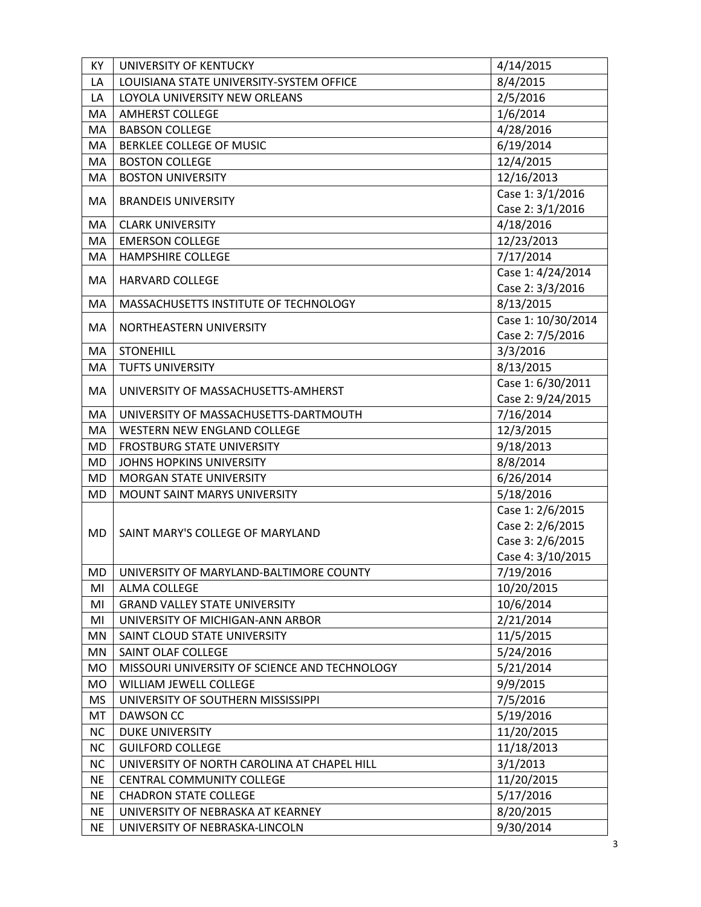| KY        | UNIVERSITY OF KENTUCKY                        | 4/14/2015                            |
|-----------|-----------------------------------------------|--------------------------------------|
| LA        | LOUISIANA STATE UNIVERSITY-SYSTEM OFFICE      | 8/4/2015                             |
| LA        | LOYOLA UNIVERSITY NEW ORLEANS                 | 2/5/2016                             |
| MA        | <b>AMHERST COLLEGE</b>                        | 1/6/2014                             |
| MA        | <b>BABSON COLLEGE</b>                         | 4/28/2016                            |
| MA        | BERKLEE COLLEGE OF MUSIC                      | 6/19/2014                            |
| MA        | <b>BOSTON COLLEGE</b>                         | 12/4/2015                            |
| MA        | <b>BOSTON UNIVERSITY</b>                      | 12/16/2013                           |
| MA.       | <b>BRANDEIS UNIVERSITY</b>                    | Case 1: 3/1/2016<br>Case 2: 3/1/2016 |
| MA        | <b>CLARK UNIVERSITY</b>                       | 4/18/2016                            |
| MA        | <b>EMERSON COLLEGE</b>                        | 12/23/2013                           |
| MA        | <b>HAMPSHIRE COLLEGE</b>                      | 7/17/2014                            |
|           |                                               | Case 1: 4/24/2014                    |
| MA        | <b>HARVARD COLLEGE</b>                        | Case 2: 3/3/2016                     |
| MA        | MASSACHUSETTS INSTITUTE OF TECHNOLOGY         | 8/13/2015                            |
|           |                                               | Case 1: 10/30/2014                   |
| MA        | NORTHEASTERN UNIVERSITY                       | Case 2: 7/5/2016                     |
| MA        | <b>STONEHILL</b>                              | 3/3/2016                             |
| MA        | <b>TUFTS UNIVERSITY</b>                       | 8/13/2015                            |
|           |                                               | Case 1: 6/30/2011                    |
| MA        | UNIVERSITY OF MASSACHUSETTS-AMHERST           | Case 2: 9/24/2015                    |
| MA        | UNIVERSITY OF MASSACHUSETTS-DARTMOUTH         | 7/16/2014                            |
| MA        | WESTERN NEW ENGLAND COLLEGE                   | 12/3/2015                            |
| <b>MD</b> | <b>FROSTBURG STATE UNIVERSITY</b>             | 9/18/2013                            |
| MD        | JOHNS HOPKINS UNIVERSITY                      | 8/8/2014                             |
| <b>MD</b> | <b>MORGAN STATE UNIVERSITY</b>                | 6/26/2014                            |
| <b>MD</b> | MOUNT SAINT MARYS UNIVERSITY                  | 5/18/2016                            |
|           |                                               | Case 1: 2/6/2015                     |
| <b>MD</b> | SAINT MARY'S COLLEGE OF MARYLAND              | Case 2: 2/6/2015                     |
|           |                                               | Case 3: 2/6/2015                     |
|           |                                               | Case 4: 3/10/2015                    |
|           | MD   UNIVERSITY OF MARYLAND-BALTIMORE COUNTY  | 7/19/2016                            |
| MI        | <b>ALMA COLLEGE</b>                           | 10/20/2015                           |
| MI        | <b>GRAND VALLEY STATE UNIVERSITY</b>          | 10/6/2014                            |
| MI        | UNIVERSITY OF MICHIGAN-ANN ARBOR              | 2/21/2014                            |
| MN        | SAINT CLOUD STATE UNIVERSITY                  | 11/5/2015                            |
| MN        | SAINT OLAF COLLEGE                            | 5/24/2016                            |
| MO        | MISSOURI UNIVERSITY OF SCIENCE AND TECHNOLOGY | 5/21/2014                            |
| MO        | WILLIAM JEWELL COLLEGE                        | 9/9/2015                             |
| MS        | UNIVERSITY OF SOUTHERN MISSISSIPPI            | 7/5/2016                             |
| MT        | <b>DAWSON CC</b>                              | 5/19/2016                            |
| <b>NC</b> | <b>DUKE UNIVERSITY</b>                        | 11/20/2015                           |
| <b>NC</b> | <b>GUILFORD COLLEGE</b>                       | 11/18/2013                           |
| NC        | UNIVERSITY OF NORTH CAROLINA AT CHAPEL HILL   | 3/1/2013                             |
| <b>NE</b> | <b>CENTRAL COMMUNITY COLLEGE</b>              | 11/20/2015                           |
| <b>NE</b> | <b>CHADRON STATE COLLEGE</b>                  | 5/17/2016                            |
| <b>NE</b> | UNIVERSITY OF NEBRASKA AT KEARNEY             | 8/20/2015                            |
| <b>NE</b> | UNIVERSITY OF NEBRASKA-LINCOLN                | 9/30/2014                            |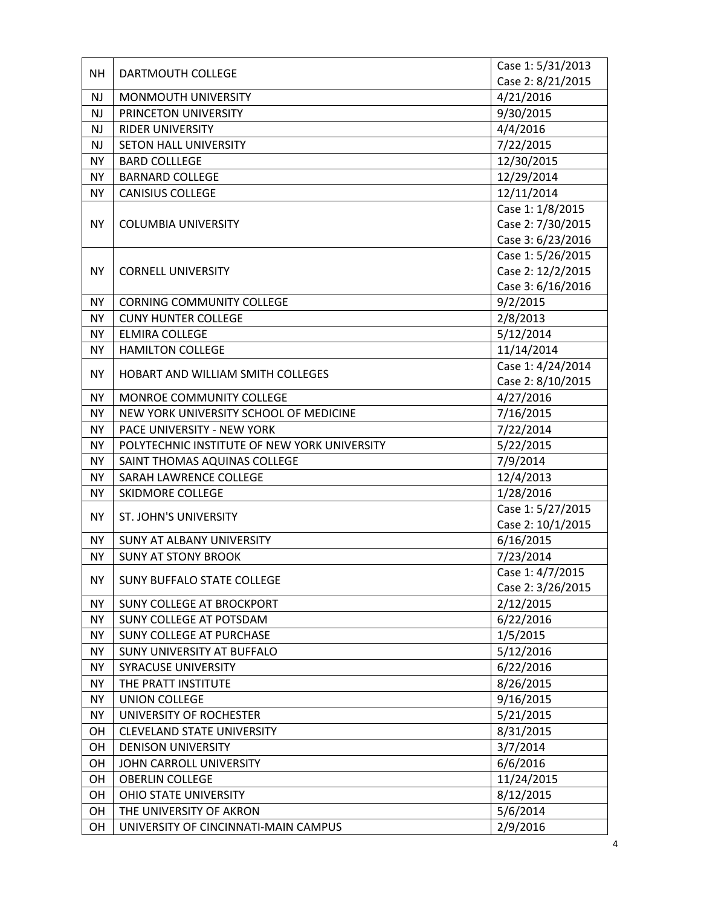| <b>NH</b> | DARTMOUTH COLLEGE                            | Case 1: 5/31/2013 |
|-----------|----------------------------------------------|-------------------|
|           |                                              | Case 2: 8/21/2015 |
| <b>NJ</b> | MONMOUTH UNIVERSITY                          | 4/21/2016         |
| <b>NJ</b> | PRINCETON UNIVERSITY                         | 9/30/2015         |
| <b>NJ</b> | <b>RIDER UNIVERSITY</b>                      | 4/4/2016          |
| <b>NJ</b> | <b>SETON HALL UNIVERSITY</b>                 | 7/22/2015         |
| <b>NY</b> | <b>BARD COLLLEGE</b>                         | 12/30/2015        |
| <b>NY</b> | <b>BARNARD COLLEGE</b>                       | 12/29/2014        |
| NY        | <b>CANISIUS COLLEGE</b>                      | 12/11/2014        |
|           |                                              | Case 1: 1/8/2015  |
| <b>NY</b> | <b>COLUMBIA UNIVERSITY</b>                   | Case 2: 7/30/2015 |
|           |                                              | Case 3: 6/23/2016 |
|           |                                              | Case 1: 5/26/2015 |
| <b>NY</b> | <b>CORNELL UNIVERSITY</b>                    | Case 2: 12/2/2015 |
|           |                                              | Case 3: 6/16/2016 |
| NY.       | <b>CORNING COMMUNITY COLLEGE</b>             | 9/2/2015          |
| <b>NY</b> | <b>CUNY HUNTER COLLEGE</b>                   | 2/8/2013          |
| NY.       | <b>ELMIRA COLLEGE</b>                        | 5/12/2014         |
| NY        | <b>HAMILTON COLLEGE</b>                      | 11/14/2014        |
|           |                                              | Case 1: 4/24/2014 |
| <b>NY</b> | HOBART AND WILLIAM SMITH COLLEGES            | Case 2: 8/10/2015 |
| NY.       | MONROE COMMUNITY COLLEGE                     | 4/27/2016         |
| <b>NY</b> | NEW YORK UNIVERSITY SCHOOL OF MEDICINE       | 7/16/2015         |
| NY.       | PACE UNIVERSITY - NEW YORK                   | 7/22/2014         |
| NY.       | POLYTECHNIC INSTITUTE OF NEW YORK UNIVERSITY | 5/22/2015         |
| NY        | SAINT THOMAS AQUINAS COLLEGE                 | 7/9/2014          |
| <b>NY</b> | SARAH LAWRENCE COLLEGE                       | 12/4/2013         |
| NY.       | <b>SKIDMORE COLLEGE</b>                      | 1/28/2016         |
|           |                                              | Case 1: 5/27/2015 |
| <b>NY</b> | <b>ST. JOHN'S UNIVERSITY</b>                 | Case 2: 10/1/2015 |
| <b>NY</b> | <b>SUNY AT ALBANY UNIVERSITY</b>             | 6/16/2015         |
| <b>NY</b> | <b>SUNY AT STONY BROOK</b>                   | 7/23/2014         |
|           |                                              | Case 1: 4/7/2015  |
| NY.       | <b>SUNY BUFFALO STATE COLLEGE</b>            | Case 2: 3/26/2015 |
| <b>NY</b> | <b>SUNY COLLEGE AT BROCKPORT</b>             | 2/12/2015         |
| <b>NY</b> | SUNY COLLEGE AT POTSDAM                      | 6/22/2016         |
| <b>NY</b> | SUNY COLLEGE AT PURCHASE                     | 1/5/2015          |
| NY.       | SUNY UNIVERSITY AT BUFFALO                   | 5/12/2016         |
| <b>NY</b> | <b>SYRACUSE UNIVERSITY</b>                   | 6/22/2016         |
| <b>NY</b> | THE PRATT INSTITUTE                          | 8/26/2015         |
| NY.       | <b>UNION COLLEGE</b>                         | 9/16/2015         |
| <b>NY</b> | UNIVERSITY OF ROCHESTER                      | 5/21/2015         |
| OH        | <b>CLEVELAND STATE UNIVERSITY</b>            | 8/31/2015         |
| OН        | <b>DENISON UNIVERSITY</b>                    | 3/7/2014          |
| OH        | JOHN CARROLL UNIVERSITY                      | 6/6/2016          |
| OH        | <b>OBERLIN COLLEGE</b>                       | 11/24/2015        |
| OН        | <b>OHIO STATE UNIVERSITY</b>                 | 8/12/2015         |
| OН        | THE UNIVERSITY OF AKRON                      | 5/6/2014          |
| OH        | UNIVERSITY OF CINCINNATI-MAIN CAMPUS         | 2/9/2016          |
|           |                                              |                   |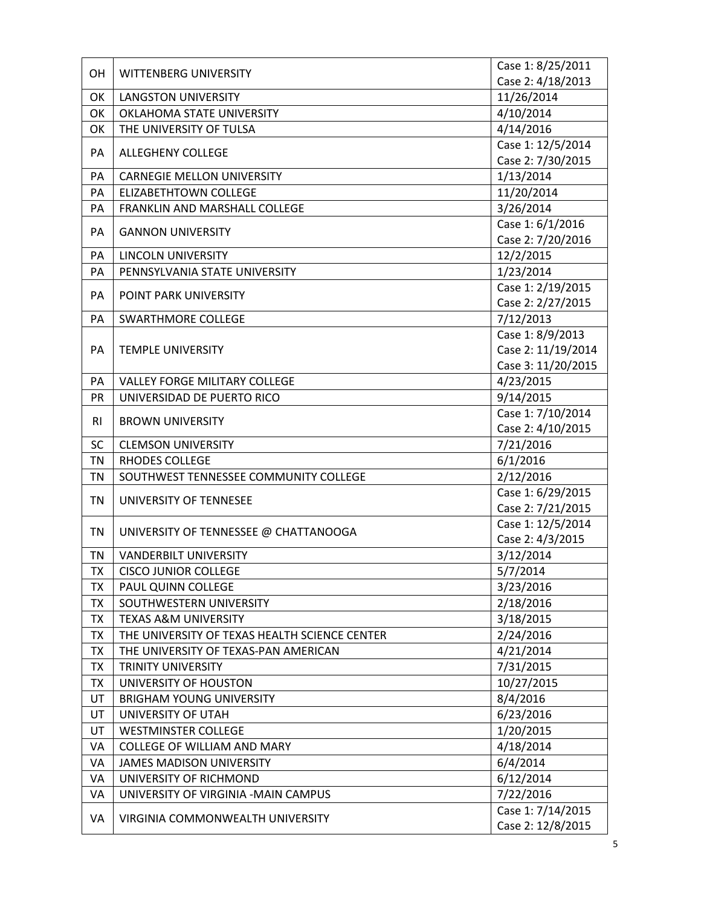| OH        | WITTENBERG UNIVERSITY                         | Case 1: 8/25/2011  |
|-----------|-----------------------------------------------|--------------------|
|           |                                               | Case 2: 4/18/2013  |
| OK        | <b>LANGSTON UNIVERSITY</b>                    | 11/26/2014         |
| OK        | OKLAHOMA STATE UNIVERSITY                     | 4/10/2014          |
| OK        | THE UNIVERSITY OF TULSA                       | 4/14/2016          |
| PA        | <b>ALLEGHENY COLLEGE</b>                      | Case 1: 12/5/2014  |
|           |                                               | Case 2: 7/30/2015  |
| PA        | <b>CARNEGIE MELLON UNIVERSITY</b>             | 1/13/2014          |
| PA        | <b>ELIZABETHTOWN COLLEGE</b>                  | 11/20/2014         |
| PA        | FRANKLIN AND MARSHALL COLLEGE                 | 3/26/2014          |
| PA        | <b>GANNON UNIVERSITY</b>                      | Case 1: 6/1/2016   |
|           |                                               | Case 2: 7/20/2016  |
| PA        | <b>LINCOLN UNIVERSITY</b>                     | 12/2/2015          |
| PA        | PENNSYLVANIA STATE UNIVERSITY                 | 1/23/2014          |
| PA        | POINT PARK UNIVERSITY                         | Case 1: 2/19/2015  |
|           |                                               | Case 2: 2/27/2015  |
| PA        | <b>SWARTHMORE COLLEGE</b>                     | 7/12/2013          |
|           |                                               | Case 1: 8/9/2013   |
| PA        | <b>TEMPLE UNIVERSITY</b>                      | Case 2: 11/19/2014 |
|           |                                               | Case 3: 11/20/2015 |
| PA        | <b>VALLEY FORGE MILITARY COLLEGE</b>          | 4/23/2015          |
| <b>PR</b> | UNIVERSIDAD DE PUERTO RICO                    | 9/14/2015          |
| RI        | <b>BROWN UNIVERSITY</b>                       | Case 1: 7/10/2014  |
|           |                                               | Case 2: 4/10/2015  |
| <b>SC</b> | <b>CLEMSON UNIVERSITY</b>                     | 7/21/2016          |
| TN        | <b>RHODES COLLEGE</b>                         | 6/1/2016           |
| <b>TN</b> | SOUTHWEST TENNESSEE COMMUNITY COLLEGE         | 2/12/2016          |
| <b>TN</b> | UNIVERSITY OF TENNESEE                        | Case 1: 6/29/2015  |
|           |                                               | Case 2: 7/21/2015  |
| TN        | UNIVERSITY OF TENNESSEE @ CHATTANOOGA         | Case 1: 12/5/2014  |
|           |                                               | Case 2: 4/3/2015   |
| <b>TN</b> | <b>VANDERBILT UNIVERSITY</b>                  | 3/12/2014          |
| TX        | <b>CISCO JUNIOR COLLEGE</b>                   | 5/7/2014           |
| <b>TX</b> | PAUL QUINN COLLEGE                            | 3/23/2016          |
| <b>TX</b> | SOUTHWESTERN UNIVERSITY                       | 2/18/2016          |
| TX        | <b>TEXAS A&amp;M UNIVERSITY</b>               | 3/18/2015          |
| <b>TX</b> | THE UNIVERSITY OF TEXAS HEALTH SCIENCE CENTER | 2/24/2016          |
| <b>TX</b> | THE UNIVERSITY OF TEXAS-PAN AMERICAN          | 4/21/2014          |
| TX        | <b>TRINITY UNIVERSITY</b>                     | 7/31/2015          |
| <b>TX</b> | UNIVERSITY OF HOUSTON                         | 10/27/2015         |
| UT        | <b>BRIGHAM YOUNG UNIVERSITY</b>               | 8/4/2016           |
| UT        | UNIVERSITY OF UTAH                            | 6/23/2016          |
| UT        | <b>WESTMINSTER COLLEGE</b>                    | 1/20/2015          |
| VA        | <b>COLLEGE OF WILLIAM AND MARY</b>            | 4/18/2014          |
| VA        | <b>JAMES MADISON UNIVERSITY</b>               | 6/4/2014           |
| VA        | UNIVERSITY OF RICHMOND                        | 6/12/2014          |
| VA        | UNIVERSITY OF VIRGINIA - MAIN CAMPUS          | 7/22/2016          |
| VA        | VIRGINIA COMMONWEALTH UNIVERSITY              | Case 1: 7/14/2015  |
|           |                                               | Case 2: 12/8/2015  |